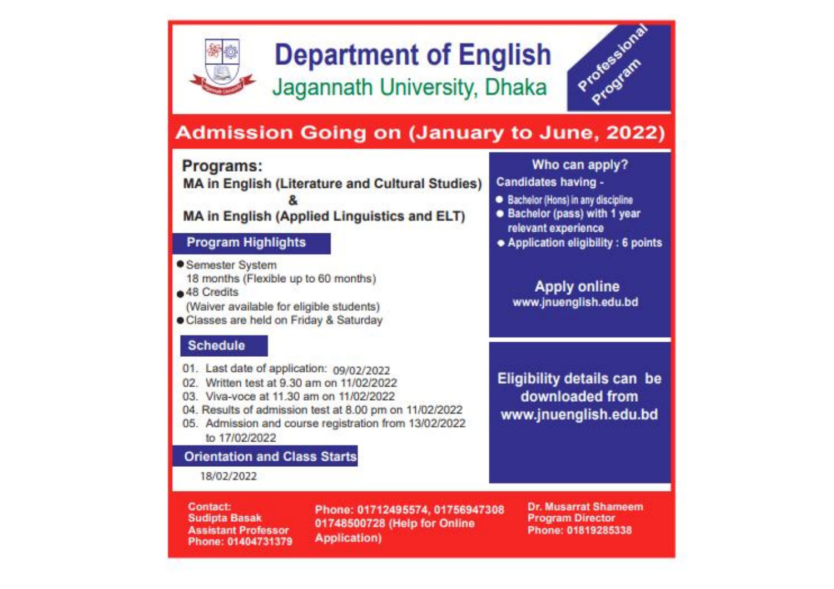

# **Department of English**

Jagannath University, Dhaka



# **Admission Going on (January to June, 2022)**

# Programs:

**MA in English (Literature and Cultural Studies)** 

# **MA in English (Applied Linguistics and ELT)**

## **Program Highlights**

- Semester System 18 months (Flexible up to 60 months)
- a 48 Credits
- (Waiver available for eligible students)
- · Classes are held on Friday & Saturday

# **Schedule**

- 01. Last date of application: 09/02/2022
- 02. Written test at 9.30 am on 11/02/2022
- 03. Viva-voce at 11.30 am on 11/02/2022
- 04. Results of admission test at 8.00 pm on 11/02/2022
- 05. Admission and course registration from 13/02/2022 to 17/02/2022

# **Orientation and Class Starts**

#### 18/02/2022

**Contact: Sudipta Basak Assistant Professor** Phone: 01404731379

Phone: 01712495574, 01756947308 01748500728 (Help for Online Application)

### Who can apply?

Candidates having -

- Bachelor (Hons) in any discipline
- · Bachelor (pass) with 1 year relevant experience
- · Application eligibility: 6 points

# **Apply online** www.jnuenglish.edu.bd

# **Eligibility details can be** downloaded from www.jnuenglish.edu.bd

#### **Dr. Musarrat Shameem Program Director** Phone: 01819285338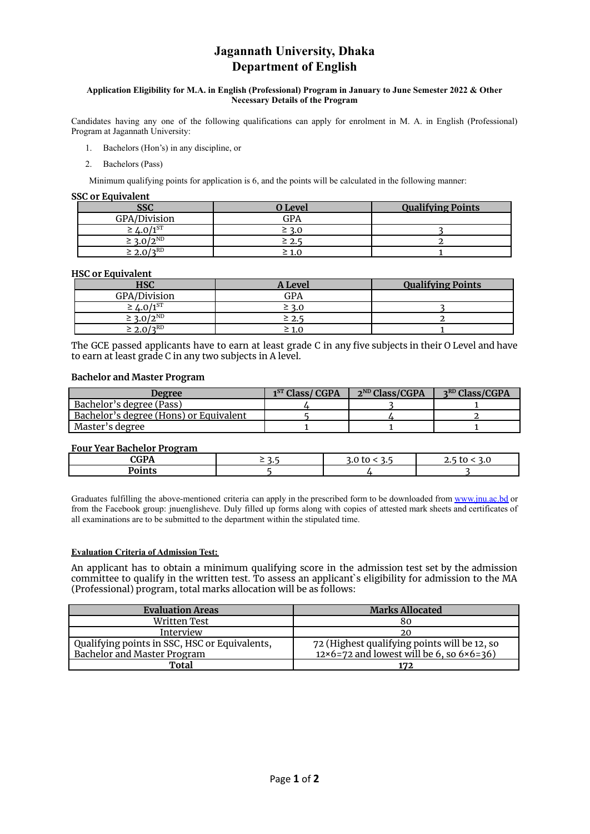### **Jagannath University, Dhaka Department of English**

#### **Application Eligibility for M.A. in English (Professional) Program in January to June Semester 2022 & Other Necessary Details of the Program**

Candidates having any one of the following qualifications can apply for enrolment in M. A. in English (Professional) Program at Jagannath University:

- 1. Bachelors (Hon's) in any discipline, or
- 2. Bachelors (Pass)

Minimum qualifying points for application is 6, and the points will be calculated in the following manner:

#### **SSC or Equivalent**

| <b>SSC</b>        | <b>O</b> Level | <b>Qualifying Points</b> |
|-------------------|----------------|--------------------------|
| GPA/Division      | GPA            |                          |
| $-4.0/1^{ST}$     | $\geq$ 3.0     |                          |
| $\geq 3.0/2^{ND}$ | $\geq$ 2.      |                          |
| $\geq 2.0/3^{RD}$ |                |                          |

#### **HSC or Equivalent**

| HSC                       | A Level | <b>Qualifying Points</b> |
|---------------------------|---------|--------------------------|
| GPA/Division              | GPA     |                          |
| $\geq \frac{1.0}{1^{ST}}$ |         |                          |
| $\leq 3.0/2^{ND}$         |         |                          |
| $I \cap RD$               | 1.0     |                          |

The GCE passed applicants have to earn at least grade C in any five subjects in their O Level and have to earn at least grade C in any two subjects in A level.

#### **Bachelor and Master Program**

| <b>Degree</b>                          | 1 <sup>ST</sup> Class/CGPA | $2^{ND}$ Class/CGPA | 3 <sup>RD</sup> Class/CGPA |
|----------------------------------------|----------------------------|---------------------|----------------------------|
| Bachelor's degree (Pass)               |                            |                     |                            |
| Bachelor's degree (Hons) or Equivalent |                            |                     |                            |
| Master's degree                        |                            |                     |                            |

#### **Four Year Bachelor Program**

| Tour Tear Dachelor Frogram |   |   |
|----------------------------|---|---|
|                            | - | ∼ |
|                            |   |   |
|                            |   |   |

Graduates fulfilling the above-mentioned criteria can apply in the prescribed form to be downloaded from [www.jnu.ac.bd](http://www.jnu.ac.bd) or from the Facebook group: jnuenglisheve. Duly filled up forms along with copies of attested mark sheets and certificates of all examinations are to be submitted to the department within the stipulated time.

#### **Evaluation Criteria of Admission Test:**

An applicant has to obtain a minimum qualifying score in the admission test set by the admission committee to qualify in the written test. To assess an applicant`s eligibility for admission to the MA (Professional) program, total marks allocation will be as follows:

| <b>Evaluation Areas</b>                       | <b>Marks Allocated</b>                                  |  |
|-----------------------------------------------|---------------------------------------------------------|--|
| Written Test                                  | 80                                                      |  |
| Interview                                     | 20                                                      |  |
| Qualifying points in SSC, HSC or Equivalents, | 72 (Highest qualifying points will be 12, so            |  |
| Bachelor and Master Program                   | $12\times6=72$ and lowest will be 6, so $6\times6=36$ ) |  |
| Total                                         | 172                                                     |  |